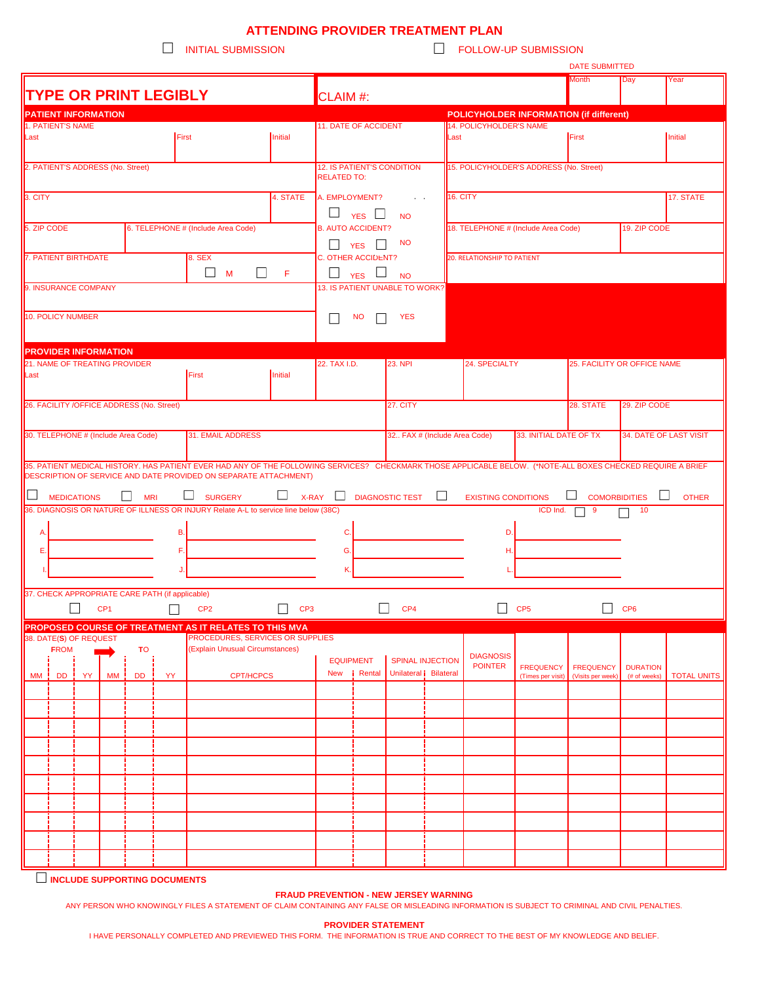## **ATTENDING PROVIDER TREATMENT PLAN**<br>FOLLOW-

 $\Box$  FOLLOW-UP SUBMISSION

|                                                   |                               |   |                 |                                     |                                                 |                                                                                                                                                             |                                                   |                                         |                                                    |                        |                  |                                                     |                        | DATE SUBMITTED<br><b>Month</b>  |                        |                    |  |
|---------------------------------------------------|-------------------------------|---|-----------------|-------------------------------------|-------------------------------------------------|-------------------------------------------------------------------------------------------------------------------------------------------------------------|---------------------------------------------------|-----------------------------------------|----------------------------------------------------|------------------------|------------------|-----------------------------------------------------|------------------------|---------------------------------|------------------------|--------------------|--|
| <b>TYPE OR PRINT LEGIBLY</b>                      |                               |   |                 |                                     |                                                 |                                                                                                                                                             |                                                   |                                         | CLAIM #:                                           |                        |                  |                                                     |                        |                                 | Day                    | Year               |  |
|                                                   | <b>PATIENT INFORMATION</b>    |   |                 |                                     |                                                 |                                                                                                                                                             |                                                   |                                         |                                                    |                        |                  | POLICYHOLDER INFORMATION (if different)             |                        |                                 |                        |                    |  |
| <b>1. PATIENT'S NAME</b>                          |                               |   |                 |                                     |                                                 |                                                                                                                                                             |                                                   | 11. DATE OF ACCIDENT                    |                                                    |                        |                  | 14. POLICYHOLDER'S NAME                             |                        |                                 |                        |                    |  |
| Last                                              | First<br>Initial              |   |                 |                                     |                                                 |                                                                                                                                                             |                                                   |                                         |                                                    |                        |                  | Last                                                |                        | First<br>Initial                |                        |                    |  |
|                                                   |                               |   |                 |                                     |                                                 |                                                                                                                                                             |                                                   |                                         |                                                    |                        |                  |                                                     |                        |                                 |                        |                    |  |
| 2. PATIENT'S ADDRESS (No. Street)                 |                               |   |                 |                                     |                                                 |                                                                                                                                                             |                                                   | 12. IS PATIENT'S CONDITION              |                                                    |                        |                  | 15. POLICYHOLDER'S ADDRESS (No. Street)             |                        |                                 |                        |                    |  |
|                                                   |                               |   |                 |                                     |                                                 |                                                                                                                                                             |                                                   | <b>RELATED TO:</b>                      |                                                    |                        |                  |                                                     |                        |                                 |                        |                    |  |
|                                                   |                               |   |                 |                                     |                                                 |                                                                                                                                                             |                                                   |                                         |                                                    |                        |                  |                                                     |                        |                                 |                        |                    |  |
| 3. CITY<br>4. STATE                               |                               |   |                 |                                     |                                                 |                                                                                                                                                             |                                                   |                                         | A. EMPLOYMENT?                                     | <b>Contractor</b>      |                  | <b>16. CITY</b>                                     |                        |                                 |                        | 17. STATE          |  |
|                                                   |                               |   |                 |                                     |                                                 |                                                                                                                                                             |                                                   |                                         | $\Box$ YES $\Box$                                  | <b>NO</b>              |                  |                                                     |                        |                                 |                        |                    |  |
| 5. ZIP CODE<br>6. TELEPHONE # (Include Area Code) |                               |   |                 |                                     |                                                 |                                                                                                                                                             |                                                   |                                         | <b>B. AUTO ACCIDENT?</b>                           |                        |                  | 18. TELEPHONE # (Include Area Code)<br>19. ZIP CODE |                        |                                 |                        |                    |  |
|                                                   |                               |   |                 |                                     |                                                 |                                                                                                                                                             |                                                   |                                         | $\Box$ YES $\Box$<br><b>NO</b>                     |                        |                  |                                                     |                        |                                 |                        |                    |  |
| 7. PATIENT BIRTHDATE<br>8. SEX                    |                               |   |                 |                                     |                                                 |                                                                                                                                                             |                                                   |                                         |                                                    |                        |                  |                                                     |                        |                                 |                        |                    |  |
|                                                   |                               |   |                 |                                     |                                                 |                                                                                                                                                             |                                                   | <b>C. OTHER ACCIDENT?</b>               |                                                    |                        |                  | <b>20. RELATIONSHIP TO PATIENT</b>                  |                        |                                 |                        |                    |  |
|                                                   | $\square$ M<br>$\Box$<br>$-F$ |   |                 |                                     |                                                 |                                                                                                                                                             |                                                   | $\Box$ YES $\Box$<br><b>NO</b>          |                                                    |                        |                  |                                                     |                        |                                 |                        |                    |  |
|                                                   | 9. INSURANCE COMPANY          |   |                 |                                     |                                                 |                                                                                                                                                             |                                                   | 13. IS PATIENT UNABLE TO WORK?          |                                                    |                        |                  |                                                     |                        |                                 |                        |                    |  |
|                                                   |                               |   |                 |                                     |                                                 |                                                                                                                                                             |                                                   |                                         |                                                    |                        |                  |                                                     |                        |                                 |                        |                    |  |
|                                                   | 10. POLICY NUMBER             |   |                 |                                     |                                                 |                                                                                                                                                             |                                                   | <b>NO</b><br><b>YES</b><br>$\mathsf{L}$ |                                                    |                        |                  |                                                     |                        |                                 |                        |                    |  |
|                                                   |                               |   |                 |                                     |                                                 |                                                                                                                                                             |                                                   |                                         |                                                    |                        |                  |                                                     |                        |                                 |                        |                    |  |
|                                                   |                               |   |                 |                                     |                                                 |                                                                                                                                                             |                                                   |                                         |                                                    |                        |                  |                                                     |                        |                                 |                        |                    |  |
| <b>PROVIDER INFORMATION</b>                       |                               |   |                 |                                     |                                                 |                                                                                                                                                             |                                                   |                                         |                                                    |                        |                  |                                                     |                        |                                 |                        |                    |  |
| 21. NAME OF TREATING PROVIDER                     |                               |   |                 |                                     |                                                 |                                                                                                                                                             |                                                   | 22. TAX I.D.                            |                                                    | <b>23. NPI</b>         |                  | 24. SPECIALTY                                       |                        | 25. FACILITY OR OFFICE NAME     |                        |                    |  |
| Last<br>First                                     |                               |   |                 |                                     |                                                 |                                                                                                                                                             | Initial                                           |                                         |                                                    |                        |                  |                                                     |                        |                                 |                        |                    |  |
|                                                   |                               |   |                 |                                     |                                                 |                                                                                                                                                             |                                                   |                                         |                                                    |                        |                  |                                                     |                        |                                 |                        |                    |  |
|                                                   |                               |   |                 |                                     |                                                 |                                                                                                                                                             |                                                   | 27. CITY                                |                                                    |                        |                  |                                                     |                        | 28. STATE<br>29. ZIP CODE       |                        |                    |  |
| 26. FACILITY / OFFICE ADDRESS (No. Street)        |                               |   |                 |                                     |                                                 |                                                                                                                                                             |                                                   |                                         |                                                    |                        |                  |                                                     |                        |                                 |                        |                    |  |
|                                                   |                               |   |                 |                                     |                                                 |                                                                                                                                                             |                                                   |                                         |                                                    |                        |                  |                                                     |                        |                                 |                        |                    |  |
|                                                   |                               |   |                 | 30. TELEPHONE # (Include Area Code) |                                                 | 31. EMAIL ADDRESS                                                                                                                                           |                                                   |                                         |                                                    |                        |                  | 32 FAX # (Include Area Code)                        | 33. INITIAL DATE OF TX |                                 | 34. DATE OF LAST VISIT |                    |  |
|                                                   |                               |   |                 |                                     |                                                 |                                                                                                                                                             |                                                   |                                         |                                                    |                        |                  |                                                     |                        |                                 |                        |                    |  |
|                                                   |                               |   |                 |                                     |                                                 | 35. PATIENT MEDICAL HISTORY. HAS PATIENT EVER HAD ANY OF THE FOLLOWING SERVICES? CHECKMARK THOSE APPLICABLE BELOW. (*NOTE-ALL BOXES CHECKED REQUIRE A BRIEF |                                                   |                                         |                                                    |                        |                  |                                                     |                        |                                 |                        |                    |  |
|                                                   |                               |   |                 |                                     |                                                 | DESCRIPTION OF SERVICE AND DATE PROVIDED ON SEPARATE ATTACHMENT)                                                                                            |                                                   |                                         |                                                    |                        |                  |                                                     |                        |                                 |                        |                    |  |
| $\Box$                                            |                               |   |                 | <b>MRI</b>                          |                                                 |                                                                                                                                                             | $\Box$                                            | $\Box$                                  |                                                    |                        | $\Box$           |                                                     |                        |                                 | $\Box$                 |                    |  |
|                                                   | <b>MEDICATIONS</b>            |   |                 |                                     |                                                 | <b>SURGERY</b>                                                                                                                                              | <b>X-RAY</b>                                      |                                         |                                                    | <b>DIAGNOSTIC TEST</b> |                  | <b>EXISTING CONDITIONS</b>                          |                        | <b>COMORBIDITIES</b>            |                        | <b>OTHER</b>       |  |
|                                                   |                               |   |                 |                                     |                                                 | 36. DIAGNOSIS OR NATURE OF ILLNESS OR INJURY Relate A-L to service line below (38C)                                                                         |                                                   |                                         |                                                    |                        |                  |                                                     | ICD Ind.               | 9                               | 10                     |                    |  |
| A.                                                |                               |   |                 |                                     | В.                                              |                                                                                                                                                             |                                                   | C.                                      |                                                    |                        |                  | D.                                                  |                        |                                 |                        |                    |  |
|                                                   |                               |   |                 |                                     |                                                 |                                                                                                                                                             |                                                   |                                         |                                                    |                        |                  |                                                     |                        |                                 |                        |                    |  |
| Е.                                                | F.                            |   |                 |                                     |                                                 |                                                                                                                                                             | G.                                                |                                         |                                                    |                        | H.               |                                                     |                        |                                 |                        |                    |  |
|                                                   |                               |   |                 |                                     |                                                 |                                                                                                                                                             |                                                   | K.                                      |                                                    |                        |                  |                                                     |                        |                                 |                        |                    |  |
|                                                   |                               |   |                 |                                     |                                                 |                                                                                                                                                             |                                                   |                                         |                                                    |                        |                  |                                                     |                        |                                 |                        |                    |  |
|                                                   |                               |   |                 |                                     | 37. CHECK APPROPRIATE CARE PATH (if applicable) |                                                                                                                                                             |                                                   |                                         |                                                    |                        |                  |                                                     |                        |                                 |                        |                    |  |
|                                                   |                               | П | CP <sub>1</sub> |                                     |                                                 | CP <sub>2</sub>                                                                                                                                             | CP <sub>3</sub>                                   |                                         | $\mathsf{L}$<br>CP <sub>5</sub><br>CP <sub>4</sub> |                        |                  |                                                     |                        | $\mathsf{L}$<br>CP <sub>6</sub> |                        |                    |  |
|                                                   |                               |   |                 |                                     |                                                 |                                                                                                                                                             |                                                   |                                         |                                                    |                        |                  |                                                     |                        |                                 |                        |                    |  |
|                                                   |                               |   |                 |                                     |                                                 | <b>PROPOSED COURSE OF TREATMENT AS IT RELATES TO THIS MVA</b>                                                                                               |                                                   |                                         |                                                    |                        |                  |                                                     |                        |                                 |                        |                    |  |
|                                                   | 38. DATE(S) OF REQUEST        |   |                 |                                     |                                                 | PROCEDURES, SERVICES OR SUPPLIES                                                                                                                            |                                                   |                                         |                                                    |                        |                  |                                                     |                        |                                 |                        |                    |  |
|                                                   | <b>FROM</b>                   |   |                 | TO                                  |                                                 | (Explain Unusual Circumstances)                                                                                                                             |                                                   |                                         |                                                    |                        |                  | <b>DIAGNOSIS</b>                                    |                        |                                 |                        |                    |  |
|                                                   |                               |   |                 |                                     | <b>EQUIPMENT</b><br><i>i</i> Rental<br>New      |                                                                                                                                                             | <b>SPINAL INJECTION</b><br>Unilateral   Bilateral |                                         | <b>POINTER</b>                                     | <b>FREQUENCY</b>       | <b>FREQUENCY</b> | <b>DURATION</b>                                     |                        |                                 |                        |                    |  |
|                                                   | MM   DD   YY                  |   | MM ¦            | <b>DD</b>                           | <b>YY</b>                                       | <b>CPT/HCPCS</b>                                                                                                                                            |                                                   |                                         |                                                    |                        |                  |                                                     | (Times per visit)      | (Visits per week)               | (# of weeks)           | <b>TOTAL UNITS</b> |  |
|                                                   |                               |   |                 |                                     |                                                 |                                                                                                                                                             |                                                   |                                         |                                                    |                        |                  |                                                     |                        |                                 |                        |                    |  |
|                                                   |                               |   |                 |                                     |                                                 |                                                                                                                                                             |                                                   |                                         |                                                    |                        |                  |                                                     |                        |                                 |                        |                    |  |
|                                                   |                               |   |                 |                                     |                                                 |                                                                                                                                                             |                                                   |                                         |                                                    |                        |                  |                                                     |                        |                                 |                        |                    |  |
|                                                   |                               |   |                 |                                     |                                                 |                                                                                                                                                             |                                                   |                                         |                                                    |                        |                  |                                                     |                        |                                 |                        |                    |  |
|                                                   |                               |   |                 |                                     |                                                 |                                                                                                                                                             |                                                   |                                         |                                                    |                        |                  |                                                     |                        |                                 |                        |                    |  |
|                                                   |                               |   |                 |                                     |                                                 |                                                                                                                                                             |                                                   |                                         |                                                    |                        |                  |                                                     |                        |                                 |                        |                    |  |
|                                                   |                               |   |                 |                                     |                                                 |                                                                                                                                                             |                                                   |                                         |                                                    |                        |                  |                                                     |                        |                                 |                        |                    |  |
|                                                   |                               |   |                 |                                     |                                                 |                                                                                                                                                             |                                                   |                                         |                                                    |                        |                  |                                                     |                        |                                 |                        |                    |  |
|                                                   |                               |   |                 |                                     |                                                 |                                                                                                                                                             |                                                   |                                         |                                                    |                        |                  |                                                     |                        |                                 |                        |                    |  |
|                                                   |                               |   |                 |                                     |                                                 |                                                                                                                                                             |                                                   |                                         |                                                    |                        |                  |                                                     |                        |                                 |                        |                    |  |
|                                                   |                               |   |                 |                                     |                                                 |                                                                                                                                                             |                                                   |                                         |                                                    |                        |                  |                                                     |                        |                                 |                        |                    |  |
|                                                   |                               |   |                 |                                     |                                                 |                                                                                                                                                             |                                                   |                                         |                                                    |                        |                  |                                                     |                        |                                 |                        |                    |  |
|                                                   |                               |   |                 |                                     |                                                 |                                                                                                                                                             |                                                   |                                         |                                                    |                        |                  |                                                     |                        |                                 |                        |                    |  |
|                                                   |                               |   |                 |                                     |                                                 |                                                                                                                                                             |                                                   |                                         |                                                    |                        |                  |                                                     |                        |                                 |                        |                    |  |
|                                                   |                               |   |                 |                                     |                                                 |                                                                                                                                                             |                                                   |                                         |                                                    |                        |                  |                                                     |                        |                                 |                        |                    |  |

**INCLUDE SUPPORTING DOCUMENTS**

## **FRAUD PREVENTION - NEW JERSEY WARNING**

ANY PERSON WHO KNOWINGLY FILES A STATEMENT OF CLAIM CONTAINING ANY FALSE OR MISLEADING INFORMATION IS SUBJECT TO CRIMINAL AND CIVIL PENALTIES.

**PROVIDER STATEMENT** 

I HAVE PERSONALLY COMPLETED AND PREVIEWED THIS FORM. THE INFORMATION IS TRUE AND CORRECT TO THE BEST OF MY KNOWLEDGE AND BELIEF.